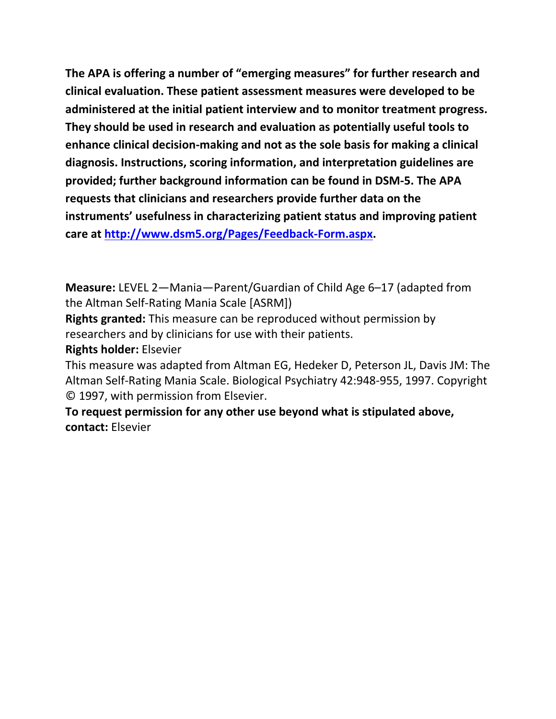**The APA is offering a number of "emerging measures" for further research and clinical evaluation. These patient assessment measures were developed to be administered at the initial patient interview and to monitor treatment progress. They should be used in research and evaluation as potentially useful tools to enhance clinical decision-making and not as the sole basis for making a clinical diagnosis. Instructions, scoring information, and interpretation guidelines are provided; further background information can be found in DSM-5. The APA requests that clinicians and researchers provide further data on the instruments' usefulness in characterizing patient status and improving patient care at [http://www.dsm5.org/Pages/Feedback-Form.aspx.](http://www.dsm5.org/Pages/Feedback-Form.aspx)**

**Measure:** LEVEL 2—Mania—Parent/Guardian of Child Age 6–17 (adapted from the Altman Self-Rating Mania Scale [ASRM])

**Rights granted:** This measure can be reproduced without permission by researchers and by clinicians for use with their patients.

**Rights holder:** Elsevier

This measure was adapted from Altman EG, Hedeker D, Peterson JL, Davis JM: The Altman Self-Rating Mania Scale. Biological Psychiatry 42:948-955, 1997. Copyright © 1997, with permission from Elsevier.

**To request permission for any other use beyond what is stipulated above, contact:** Elsevier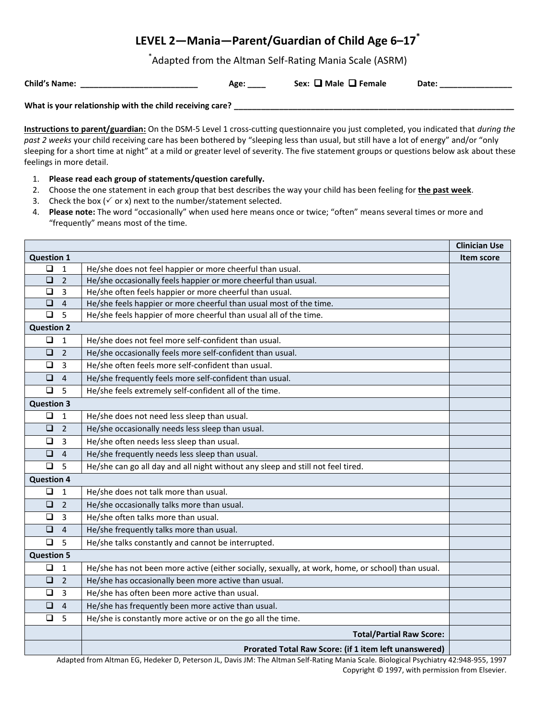# **LEVEL 2—Mania—Parent/Guardian of Child Age 6–17\***

\* Adapted from the Altman Self-Rating Mania Scale (ASRM)

**Child's Name: Sex** 

|  | $::\,\blacksquare$ Male $\blacksquare$ Female | Date: |
|--|-----------------------------------------------|-------|
|  |                                               |       |

**What is your relationship with the child receiving care? \_\_\_\_\_\_\_\_\_\_\_\_\_\_\_\_\_\_\_\_\_\_\_\_\_\_\_\_\_\_\_\_\_\_\_\_\_\_\_\_\_\_\_\_\_\_\_\_\_\_\_\_\_\_\_\_\_\_\_\_\_\_**

**Instructions to parent/guardian:** On the DSM-5 Level 1 cross-cutting questionnaire you just completed, you indicated that *during the past 2 weeks* your child receiving care has been bothered by "sleeping less than usual, but still have a lot of energy" and/or "only sleeping for a short time at night" at a mild or greater level of severity. The five statement groups or questions below ask about these feelings in more detail.

- 1. **Please read each group of statements/question carefully.**
- 2. Choose the one statement in each group that best describes the way your child has been feeling for **the past week**.
- 3. Check the box ( $\checkmark$  or x) next to the number/statement selected.
- 4. **Please note:** The word "occasionally" when used here means once or twice; "often" means several times or more and "frequently" means most of the time.

|                   |                |                                                                                                   | <b>Clinician Use</b> |  |
|-------------------|----------------|---------------------------------------------------------------------------------------------------|----------------------|--|
| <b>Question 1</b> |                |                                                                                                   |                      |  |
| ❏                 | $\mathbf{1}$   | He/she does not feel happier or more cheerful than usual.                                         |                      |  |
| $\Box$            | $\overline{2}$ | He/she occasionally feels happier or more cheerful than usual.                                    |                      |  |
| $\Box$            | 3              | He/she often feels happier or more cheerful than usual.                                           |                      |  |
| $\Box$            | $\overline{4}$ | He/she feels happier or more cheerful than usual most of the time.                                |                      |  |
| $\Box$            | 5              | He/she feels happier of more cheerful than usual all of the time.                                 |                      |  |
| <b>Question 2</b> |                |                                                                                                   |                      |  |
| $\Box$            | $\mathbf{1}$   | He/she does not feel more self-confident than usual.                                              |                      |  |
| $\Box$            | $\overline{2}$ | He/she occasionally feels more self-confident than usual.                                         |                      |  |
| $\Box$            | $\overline{3}$ | He/she often feels more self-confident than usual.                                                |                      |  |
| $\Box$            | $\overline{4}$ | He/she frequently feels more self-confident than usual.                                           |                      |  |
| $\Box$            | 5              | He/she feels extremely self-confident all of the time.                                            |                      |  |
| <b>Question 3</b> |                |                                                                                                   |                      |  |
| $\Box$            | $\mathbf{1}$   | He/she does not need less sleep than usual.                                                       |                      |  |
| $\Box$            | $\overline{2}$ | He/she occasionally needs less sleep than usual.                                                  |                      |  |
| $\Box$            | $\overline{3}$ | He/she often needs less sleep than usual.                                                         |                      |  |
| $\Box$            | $\overline{4}$ | He/she frequently needs less sleep than usual.                                                    |                      |  |
| $\Box$            | 5              | He/she can go all day and all night without any sleep and still not feel tired.                   |                      |  |
| <b>Question 4</b> |                |                                                                                                   |                      |  |
| $\Box$            | $\mathbf{1}$   | He/she does not talk more than usual.                                                             |                      |  |
| $\Box$            | $\overline{2}$ | He/she occasionally talks more than usual.                                                        |                      |  |
| $\Box$            | $\overline{3}$ | He/she often talks more than usual.                                                               |                      |  |
| $\Box$            | $\overline{4}$ | He/she frequently talks more than usual.                                                          |                      |  |
| $\Box$ 5          |                | He/she talks constantly and cannot be interrupted.                                                |                      |  |
| <b>Question 5</b> |                |                                                                                                   |                      |  |
| $\Box$            | 1              | He/she has not been more active (either socially, sexually, at work, home, or school) than usual. |                      |  |
| $\Box$            | $\overline{2}$ | He/she has occasionally been more active than usual.                                              |                      |  |
| $\Box$            | $\overline{3}$ | He/she has often been more active than usual.                                                     |                      |  |
| $\Box$            | $\overline{4}$ | He/she has frequently been more active than usual.                                                |                      |  |
| □                 | 5              | He/she is constantly more active or on the go all the time.                                       |                      |  |
|                   |                | <b>Total/Partial Raw Score:</b>                                                                   |                      |  |
|                   |                | Prorated Total Raw Score: (if 1 item left unanswered)                                             |                      |  |

Adapted from Altman EG, Hedeker D, Peterson JL, Davis JM: The Altman Self-Rating Mania Scale. Biological Psychiatry 42:948-955, 1997 Copyright © 1997, with permission from Elsevier.